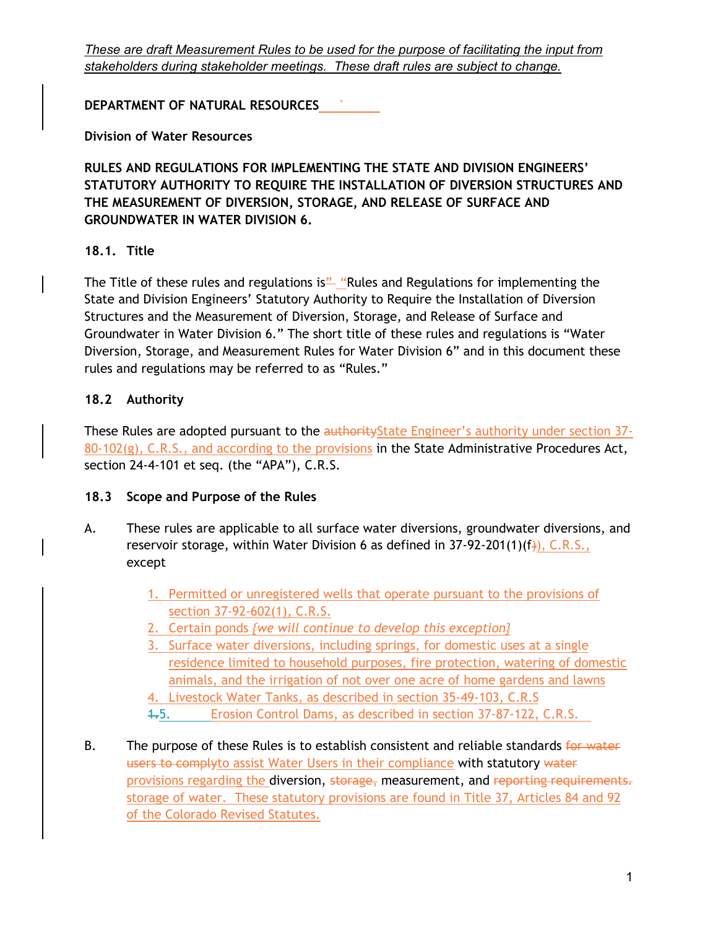**DEPARTMENT OF NATURAL RESOURCES `**

**Division of Water Resources**

**RULES AND REGULATIONS FOR IMPLEMENTING THE STATE AND DIVISION ENGINEERS' STATUTORY AUTHORITY TO REQUIRE THE INSTALLATION OF DIVERSION STRUCTURES AND THE MEASUREMENT OF DIVERSION, STORAGE, AND RELEASE OF SURFACE AND GROUNDWATER IN WATER DIVISION 6.** 

# **18.1. Title**

The Title of these rules and regulations is" "Rules and Regulations for implementing the State and Division Engineers' Statutory Authority to Require the Installation of Diversion Structures and the Measurement of Diversion, Storage, and Release of Surface and Groundwater in Water Division 6." The short title of these rules and regulations is "Water Diversion, Storage, and Measurement Rules for Water Division 6" and in this document these rules and regulations may be referred to as "Rules."

## **18.2 Authority**

These Rules are adopted pursuant to the authority State Engineer's authority under section 37- $80-102(g)$ , C.R.S., and according to the provisions in the State Administrative Procedures Act, section 24-4-101 et seq. (the "APA"), C.R.S.

# **18.3 Scope and Purpose of the Rules**

- A. These rules are applicable to all surface water diversions, groundwater diversions, and reservoir storage, within Water Division 6 as defined in  $37-92-201(1)(f)$ , C.R.S., except
	- 1. Permitted or unregistered wells that operate pursuant to the provisions of section 37-92-602(1), C.R.S.
	- 2. Certain ponds *{we will continue to develop this exception}*
	- 3. Surface water diversions, including springs, for domestic uses at a single residence limited to household purposes, fire protection, watering of domestic animals, and the irrigation of not over one acre of home gardens and lawns
	- 4. Livestock Water Tanks, as described in section 35-49-103, C.R.S
	- 1.5. Erosion Control Dams, as described in section 37-87-122, C.R.S.
- B. The purpose of these Rules is to establish consistent and reliable standards for water users to complyto assist Water Users in their compliance with statutory water provisions regarding the diversion, storage, measurement, and reporting requirements. storage of water. These statutory provisions are found in Title 37, Articles 84 and 92 of the Colorado Revised Statutes.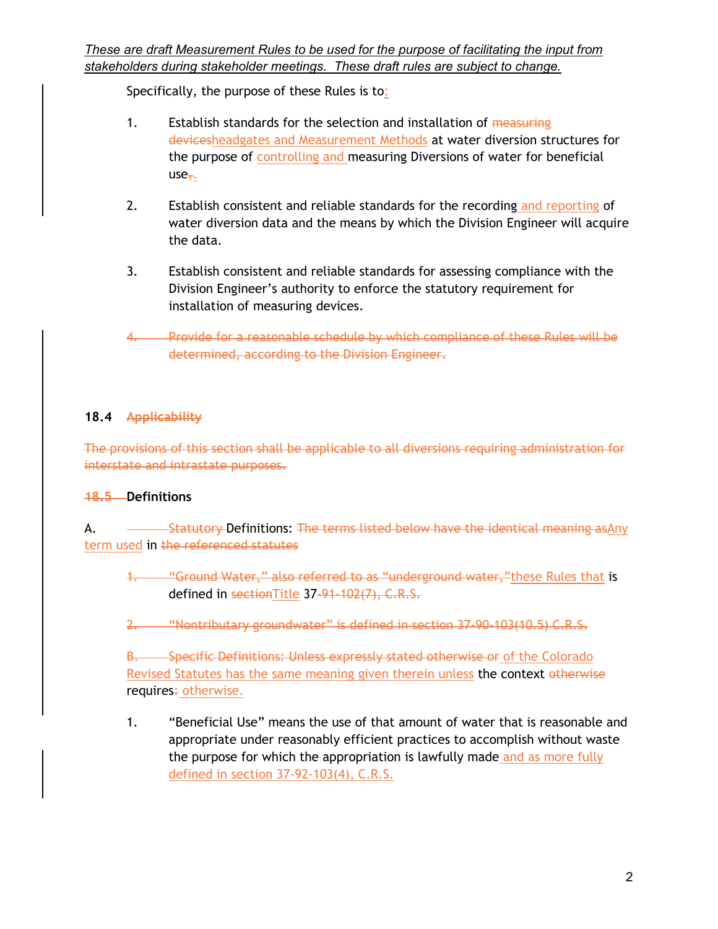Specifically, the purpose of these Rules is to:

- 1. Establish standards for the selection and installation of measuring devicesheadgates and Measurement Methods at water diversion structures for the purpose of controlling and measuring Diversions of water for beneficial  $use<sub>7</sub>$ .
- 2. Establish consistent and reliable standards for the recording and reporting of water diversion data and the means by which the Division Engineer will acquire the data.
- 3. Establish consistent and reliable standards for assessing compliance with the Division Engineer's authority to enforce the statutory requirement for installation of measuring devices.
- 4. Provide for a reasonable schedule by which compliance of these Rules will be determined, according to the Division Engineer.

# **18.4 Applicability**

The provisions of this section shall be applicable to all diversions requiring administration for interstate and intrastate purposes.

# **18.5 Definitions**

A. Statutory Definitions: The terms listed below have the identical meaning asAny term used in the referenced statutes

- 1. "Ground Water," also referred to as "underground water," these Rules that is defined in sectionTitle 37-91-102(7), C.R.S.
- 2. "Nontributary groundwater" is defined in section 37-90-103(10.5) C.R.S.

B. Specific Definitions: Unless expressly stated otherwise or of the Colorado Revised Statutes has the same meaning given therein unless the context otherwise requires: otherwise.

1. "Beneficial Use" means the use of that amount of water that is reasonable and appropriate under reasonably efficient practices to accomplish without waste the purpose for which the appropriation is lawfully made and as more fully defined in section 37-92-103(4), C.R.S.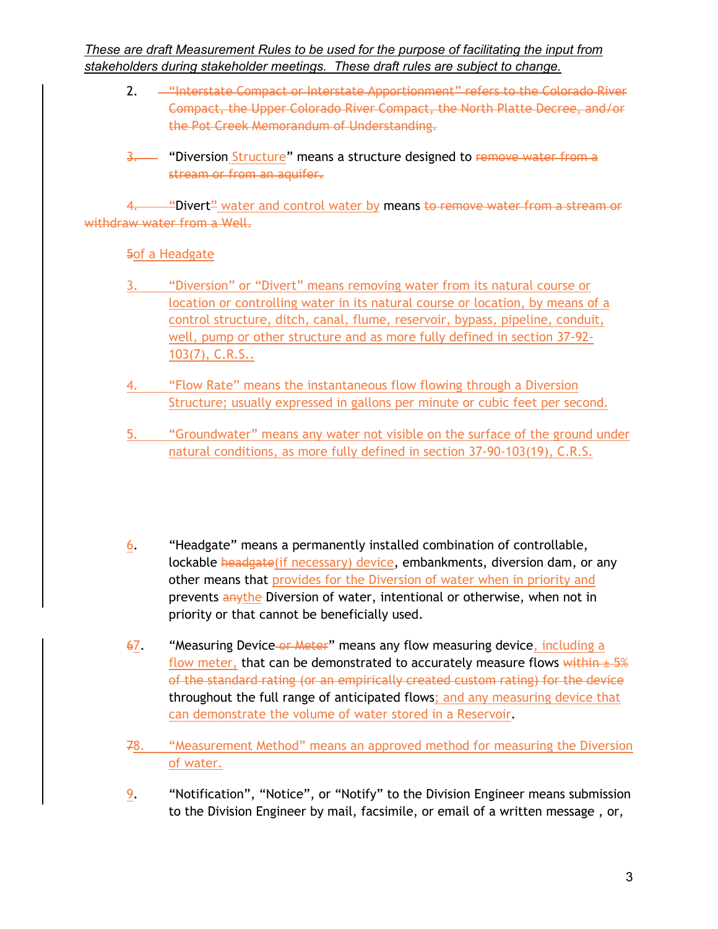- 2. "Interstate Compact or Interstate Apportionment" refers to the Colorado River Compact, the Upper Colorado River Compact, the North Platte Decree, and/or the Pot Creek Memorandum of Understanding.
- 3. "Diversion Structure" means a structure designed to remove water from a stream or from an aquifer.

4. "Divert<sup>"</sup> water and control water by means to remove water from a stream or withdraw water from a Well.

5of a Headgate

- 3. "Diversion" or "Divert" means removing water from its natural course or location or controlling water in its natural course or location, by means of a control structure, ditch, canal, flume, reservoir, bypass, pipeline, conduit, well, pump or other structure and as more fully defined in section 37-92- 103(7), C.R.S..
- 4. "Flow Rate" means the instantaneous flow flowing through a Diversion Structure; usually expressed in gallons per minute or cubic feet per second.
- 5. "Groundwater" means any water not visible on the surface of the ground under natural conditions, as more fully defined in section 37-90-103(19), C.R.S.
- 6. "Headgate" means a permanently installed combination of controllable, lockable headgate(if necessary) device, embankments, diversion dam, or any other means that provides for the Diversion of water when in priority and prevents anythe Diversion of water, intentional or otherwise, when not in priority or that cannot be beneficially used.
- 67. "Measuring Device or Meter" means any flow measuring device, including a flow meter, that can be demonstrated to accurately measure flows within  $\pm$  5% of the standard rating (or an empirically created custom rating) for the device throughout the full range of anticipated flows; and any measuring device that can demonstrate the volume of water stored in a Reservoir.
- 78. "Measurement Method" means an approved method for measuring the Diversion of water.
- 9. "Notification", "Notice", or "Notify" to the Division Engineer means submission to the Division Engineer by mail, facsimile, or email of a written message , or,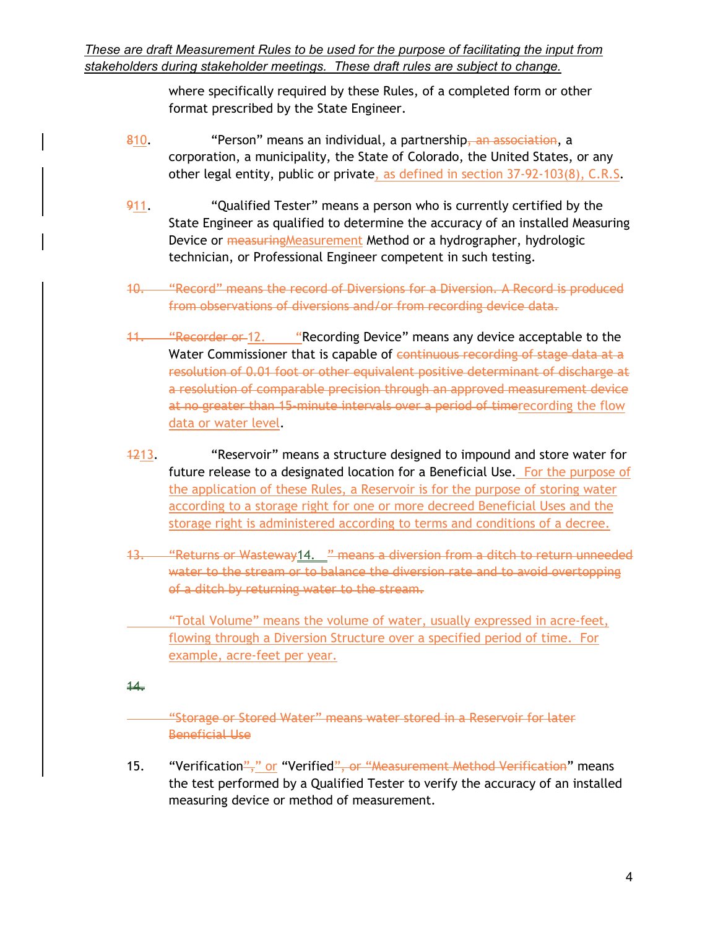> where specifically required by these Rules, of a completed form or other format prescribed by the State Engineer.

- 810. "Person" means an individual, a partnership, an association, a corporation, a municipality, the State of Colorado, the United States, or any other legal entity, public or private, as defined in section 37-92-103(8), C.R.S.
- 911. ""Qualified Tester" means a person who is currently certified by the State Engineer as qualified to determine the accuracy of an installed Measuring Device or measuring Measurement Method or a hydrographer, hydrologic technician, or Professional Engineer competent in such testing.
- 10. "Record" means the record of Diversions for a Diversion. A Record is produced from observations of diversions and/or from recording device data.
- 11. "Recorder or 12. "Recording Device" means any device acceptable to the Water Commissioner that is capable of continuous recording of stage data at a resolution of 0.01 foot or other equivalent positive determinant of discharge at a resolution of comparable precision through an approved measurement device at no greater than 15-minute intervals over a period of timerecording the flow data or water level.
- 1213. "Reservoir" means a structure designed to impound and store water for future release to a designated location for a Beneficial Use. For the purpose of the application of these Rules, a Reservoir is for the purpose of storing water according to a storage right for one or more decreed Beneficial Uses and the storage right is administered according to terms and conditions of a decree.
- 13. "Returns or Wasteway14. " means a diversion from a ditch to return unneeded water to the stream or to balance the diversion rate and to avoid overtopping of a ditch by returning water to the stream.

 "Total Volume" means the volume of water, usually expressed in acre-feet, flowing through a Diversion Structure over a specified period of time. For example, acre-feet per year.

#### $44.$

"Storage or Stored Water" means water stored in a Reservoir for later Beneficial Use

15. "Verification"," or "Verified", or "Measurement Method Verification" means the test performed by a Qualified Tester to verify the accuracy of an installed measuring device or method of measurement.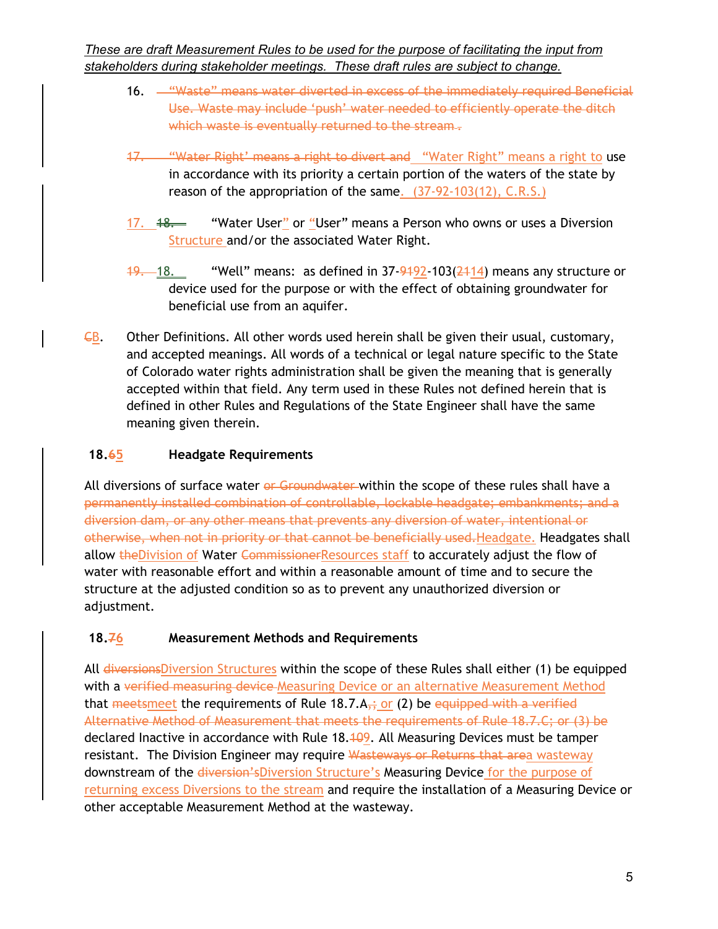- 16. **Waste**" means water diverted in excess of the immediately required Beneficial Use. Waste may include 'push' water needed to efficiently operate the ditch which waste is eventually returned to the stream .-
- 17. "Water Right' means a right to divert and "Water Right" means a right to use in accordance with its priority a certain portion of the waters of the state by reason of the appropriation of the same. (37-92-103(12), C.R.S.)
- 17.  $48.$  "Water User" or "User" means a Person who owns or uses a Diversion Structure and/or the associated Water Right.
- $19.$  18. "Well" means: as defined in 37-9492-103( $\frac{2414}{14}$ ) means any structure or device used for the purpose or with the effect of obtaining groundwater for beneficial use from an aquifer.
- $\epsilon$ B. Other Definitions. All other words used herein shall be given their usual, customary, and accepted meanings. All words of a technical or legal nature specific to the State of Colorado water rights administration shall be given the meaning that is generally accepted within that field. Any term used in these Rules not defined herein that is defined in other Rules and Regulations of the State Engineer shall have the same meaning given therein.

# **18.65 Headgate Requirements**

All diversions of surface water or Groundwater within the scope of these rules shall have a permanently installed combination of controllable, lockable headgate; embankments; and a diversion dam, or any other means that prevents any diversion of water, intentional or otherwise, when not in priority or that cannot be beneficially used.Headgate. Headgates shall allow theDivision of Water CommissionerResources staff to accurately adjust the flow of water with reasonable effort and within a reasonable amount of time and to secure the structure at the adjusted condition so as to prevent any unauthorized diversion or adjustment.

# **18.76 Measurement Methods and Requirements**

All diversionsDiversion Structures within the scope of these Rules shall either (1) be equipped with a verified measuring device-Measuring Device or an alternative Measurement Method that meetsmeet the requirements of Rule 18.7. $A_{\tau}$ ; or (2) be equipped with a verified Alternative Method of Measurement that meets the requirements of Rule 18.7.C; or (3) be declared Inactive in accordance with Rule 18.409. All Measuring Devices must be tamper resistant. The Division Engineer may require Wasteways or Returns that area wasteway downstream of the diversion'sDiversion Structure's Measuring Device for the purpose of returning excess Diversions to the stream and require the installation of a Measuring Device or other acceptable Measurement Method at the wasteway.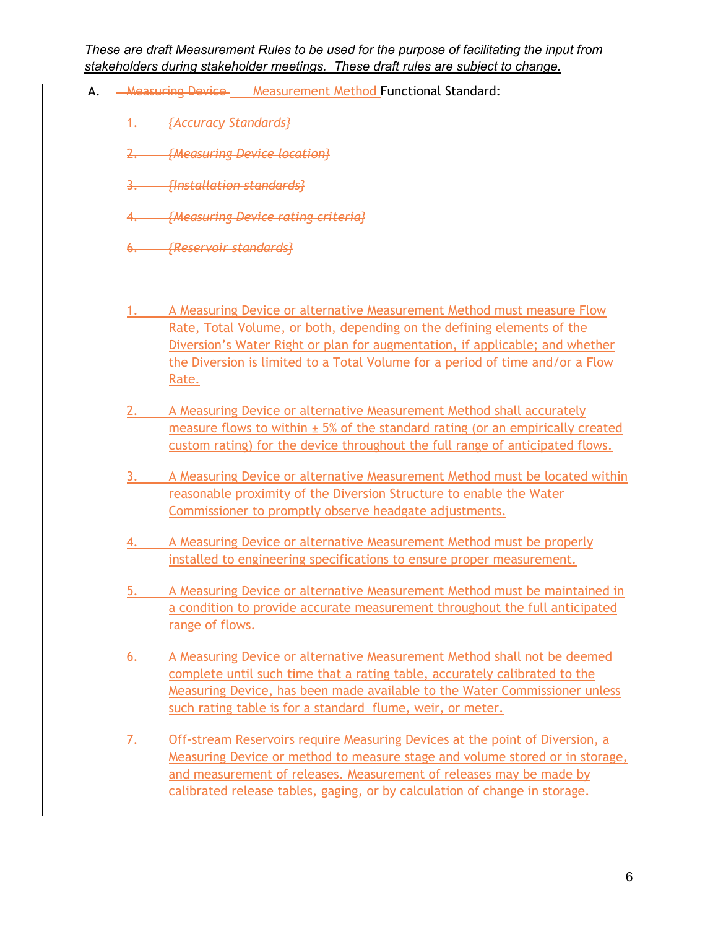- A. **AREASULTING DEVICE** Measurement Method Functional Standard:
	- 1. *{Accuracy Standards}*
	- 2. *{Measuring Device location}*
	- 3. *{Installation standards}*
	- 4. *{Measuring Device rating criteria}*
	- 6. *{Reservoir standards}*
	- 1. A Measuring Device or alternative Measurement Method must measure Flow Rate, Total Volume, or both, depending on the defining elements of the Diversion's Water Right or plan for augmentation, if applicable; and whether the Diversion is limited to a Total Volume for a period of time and/or a Flow Rate.
	- 2. A Measuring Device or alternative Measurement Method shall accurately measure flows to within  $\pm$  5% of the standard rating (or an empirically created custom rating) for the device throughout the full range of anticipated flows.
	- 3. A Measuring Device or alternative Measurement Method must be located within reasonable proximity of the Diversion Structure to enable the Water Commissioner to promptly observe headgate adjustments.
	- 4. A Measuring Device or alternative Measurement Method must be properly installed to engineering specifications to ensure proper measurement.
	- 5. A Measuring Device or alternative Measurement Method must be maintained in a condition to provide accurate measurement throughout the full anticipated range of flows.
	- 6. A Measuring Device or alternative Measurement Method shall not be deemed complete until such time that a rating table, accurately calibrated to the Measuring Device, has been made available to the Water Commissioner unless such rating table is for a standard flume, weir, or meter.
	- 7. Off-stream Reservoirs require Measuring Devices at the point of Diversion, a Measuring Device or method to measure stage and volume stored or in storage, and measurement of releases. Measurement of releases may be made by calibrated release tables, gaging, or by calculation of change in storage.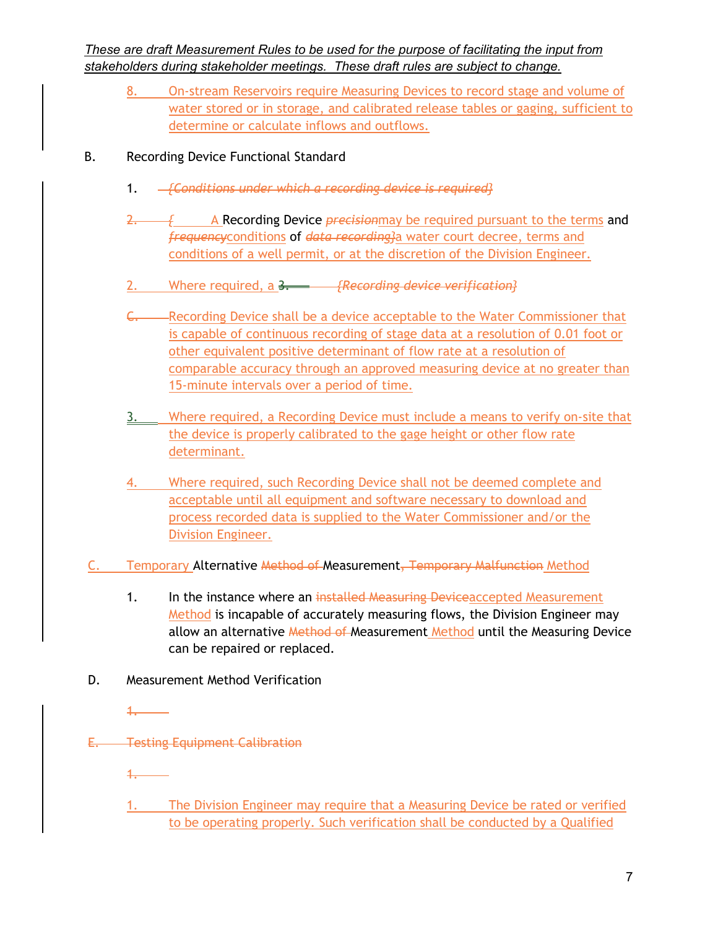8. On-stream Reservoirs require Measuring Devices to record stage and volume of water stored or in storage, and calibrated release tables or gaging, sufficient to determine or calculate inflows and outflows.

# B. Recording Device Functional Standard

- 1. *{Conditions under which a recording device is required}*
- 2. A Recording Device *precision* may be required pursuant to the terms and *frequency*conditions of *data recording}*a water court decree, terms and conditions of a well permit, or at the discretion of the Division Engineer.
- 2. Where required, a 3. *{Recording device verification}*
- C. Recording Device shall be a device acceptable to the Water Commissioner that is capable of continuous recording of stage data at a resolution of 0.01 foot or other equivalent positive determinant of flow rate at a resolution of comparable accuracy through an approved measuring device at no greater than 15-minute intervals over a period of time.
- 3. Where required, a Recording Device must include a means to verify on-site that the device is properly calibrated to the gage height or other flow rate determinant.
- 4. Where required, such Recording Device shall not be deemed complete and acceptable until all equipment and software necessary to download and process recorded data is supplied to the Water Commissioner and/or the Division Engineer.
- C. Temporary Alternative Method of Measurement, Temporary Malfunction Method
	- 1. In the instance where an installed Measuring Deviceaccepted Measurement Method is incapable of accurately measuring flows, the Division Engineer may allow an alternative Method of Measurement Method until the Measuring Device can be repaired or replaced.
- D. Measurement Method Verification
- E. Testing Equipment Calibration
	- 1.

1.

1. The Division Engineer may require that a Measuring Device be rated or verified to be operating properly. Such verification shall be conducted by a Qualified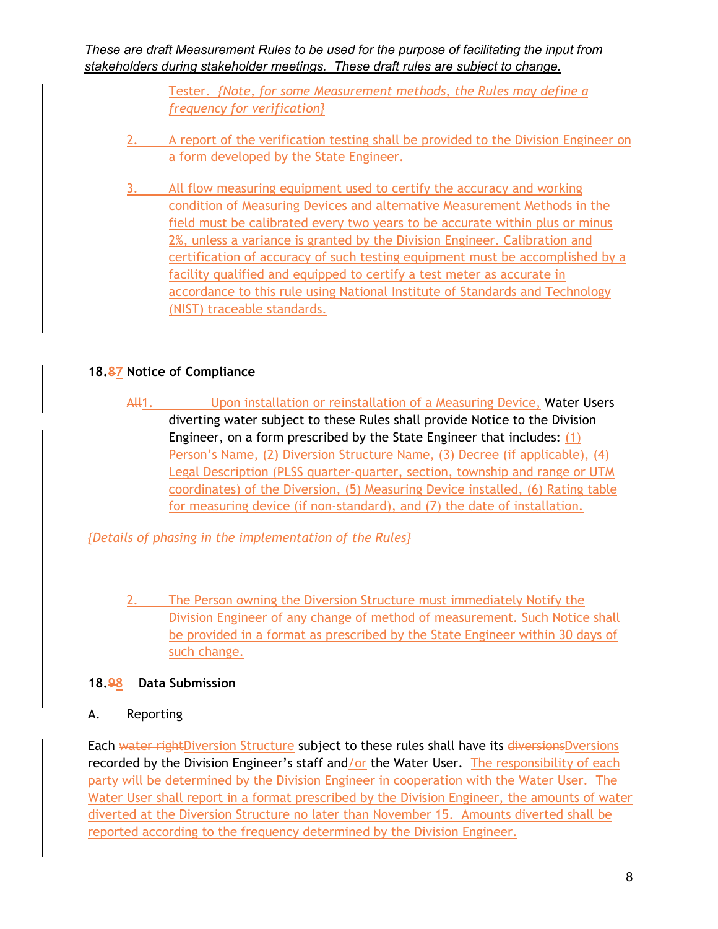> Tester. *{Note, for some Measurement methods, the Rules may define a frequency for verification}*

- 2. A report of the verification testing shall be provided to the Division Engineer on a form developed by the State Engineer.
- 3. All flow measuring equipment used to certify the accuracy and working condition of Measuring Devices and alternative Measurement Methods in the field must be calibrated every two years to be accurate within plus or minus 2%, unless a variance is granted by the Division Engineer. Calibration and certification of accuracy of such testing equipment must be accomplished by a facility qualified and equipped to certify a test meter as accurate in accordance to this rule using National Institute of Standards and Technology (NIST) traceable standards.

# **18.87 Notice of Compliance**

All<sub>1</sub>. Upon installation or reinstallation of a Measuring Device, Water Users diverting water subject to these Rules shall provide Notice to the Division Engineer, on a form prescribed by the State Engineer that includes: (1) Person's Name, (2) Diversion Structure Name, (3) Decree (if applicable), (4) Legal Description (PLSS quarter-quarter, section, township and range or UTM coordinates) of the Diversion, (5) Measuring Device installed, (6) Rating table for measuring device (if non-standard), and (7) the date of installation.

*{Details of phasing in the implementation of the Rules}*

2. The Person owning the Diversion Structure must immediately Notify the Division Engineer of any change of method of measurement. Such Notice shall be provided in a format as prescribed by the State Engineer within 30 days of such change.

# **18.98 Data Submission**

A. Reporting

Each water rightDiversion Structure subject to these rules shall have its diversionsDversions recorded by the Division Engineer's staff and/or the Water User. The responsibility of each party will be determined by the Division Engineer in cooperation with the Water User. The Water User shall report in a format prescribed by the Division Engineer, the amounts of water diverted at the Diversion Structure no later than November 15. Amounts diverted shall be reported according to the frequency determined by the Division Engineer.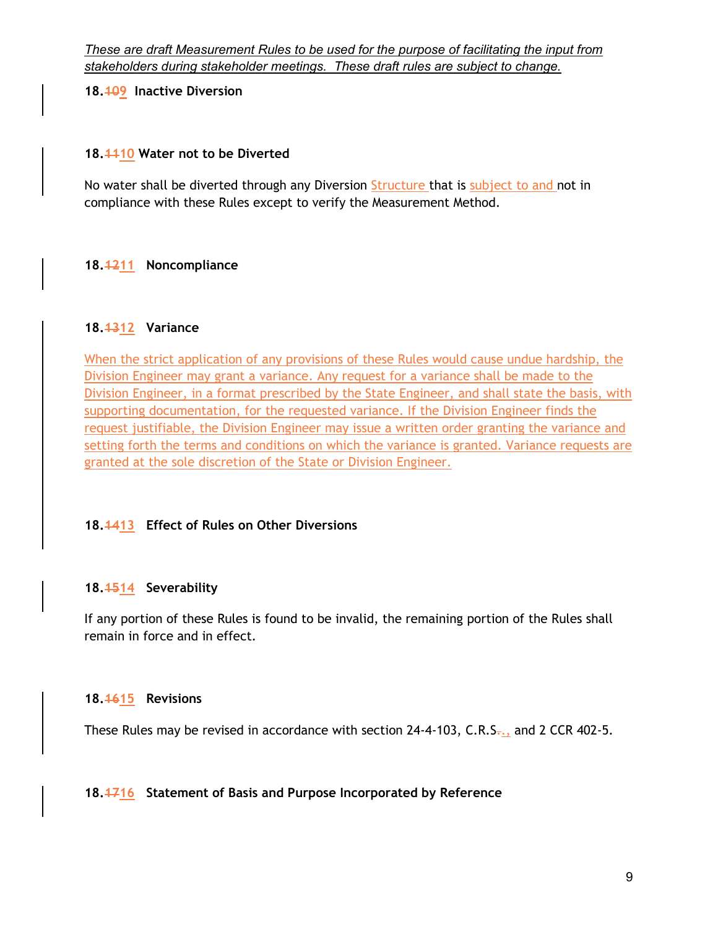**18.109 Inactive Diversion**

### **18.1110 Water not to be Diverted**

No water shall be diverted through any Diversion **Structure** that is subject to and not in compliance with these Rules except to verify the Measurement Method.

### **18.1211 Noncompliance**

### **18.1312 Variance**

When the strict application of any provisions of these Rules would cause undue hardship, the Division Engineer may grant a variance. Any request for a variance shall be made to the Division Engineer, in a format prescribed by the State Engineer, and shall state the basis, with supporting documentation, for the requested variance. If the Division Engineer finds the request justifiable, the Division Engineer may issue a written order granting the variance and setting forth the terms and conditions on which the variance is granted. Variance requests are granted at the sole discretion of the State or Division Engineer.

### **18.1413 Effect of Rules on Other Diversions**

### **18.1514 Severability**

If any portion of these Rules is found to be invalid, the remaining portion of the Rules shall remain in force and in effect.

#### **18.1615 Revisions**

These Rules may be revised in accordance with section  $24-4-103$ , C.R.S., and 2 CCR 402-5.

### **18.1716 Statement of Basis and Purpose Incorporated by Reference**